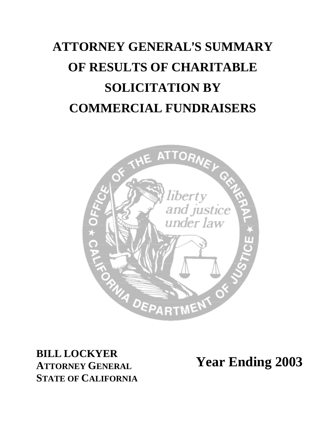# **ATTORNEY GENERAL**=**S SUMMARY OF RESULTS OF CHARITABLE SOLICITATION BY COMMERCIAL FUNDRAISERS**



**BILL LOCKYER ATTORNEY GENERAL STATE OF CALIFORNIA** 

**Year Ending 2003**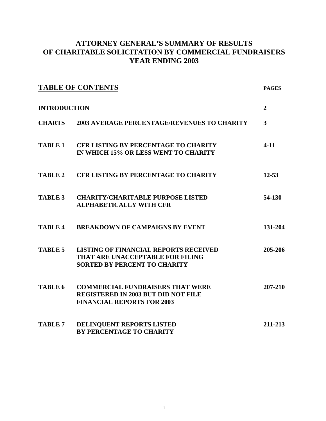#### **ATTORNEY GENERAL'S SUMMARY OF RESULTS OF CHARITABLE SOLICITATION BY COMMERCIAL FUNDRAISERS YEAR ENDING 2003**

| <b>TABLE OF CONTENTS</b><br><b>INTRODUCTION</b> |                                                                                                                            | <b>PAGES</b><br>$\overline{2}$ |
|-------------------------------------------------|----------------------------------------------------------------------------------------------------------------------------|--------------------------------|
|                                                 |                                                                                                                            |                                |
| <b>TABLE 1</b>                                  | <b>CFR LISTING BY PERCENTAGE TO CHARITY</b><br>IN WHICH 15% OR LESS WENT TO CHARITY                                        | $4 - 11$                       |
| <b>TABLE 2</b>                                  | <b>CFR LISTING BY PERCENTAGE TO CHARITY</b>                                                                                | $12 - 53$                      |
| <b>TABLE 3</b>                                  | <b>CHARITY/CHARITABLE PURPOSE LISTED</b><br><b>ALPHABETICALLY WITH CFR</b>                                                 | 54-130                         |
| TABLE 4                                         | <b>BREAKDOWN OF CAMPAIGNS BY EVENT</b>                                                                                     | 131-204                        |
| <b>TABLE 5</b>                                  | <b>LISTING OF FINANCIAL REPORTS RECEIVED</b><br>THAT ARE UNACCEPTABLE FOR FILING<br><b>SORTED BY PERCENT TO CHARITY</b>    | 205-206                        |
| TABLE 6                                         | <b>COMMERCIAL FUNDRAISERS THAT WERE</b><br><b>REGISTERED IN 2003 BUT DID NOT FILE</b><br><b>FINANCIAL REPORTS FOR 2003</b> | 207-210                        |
| <b>TABLE 7</b>                                  | DELINQUENT REPORTS LISTED<br><b>BY PERCENTAGE TO CHARITY</b>                                                               | 211-213                        |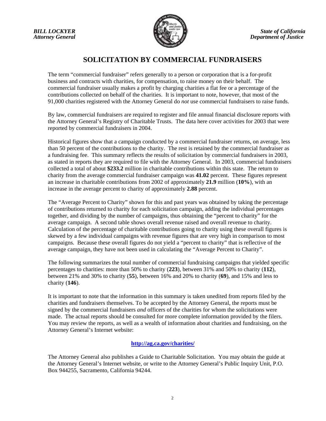

### **SOLICITATION BY COMMERCIAL FUNDRAISERS**

The term "commercial fundraiser" refers generally to a person or corporation that is a for-profit business and contracts with charities, for compensation, to raise money on their behalf. The commercial fundraiser usually makes a profit by charging charities a flat fee or a percentage of the contributions collected on behalf of the charities. It is important to note, however, that most of the 91,000 charities registered with the Attorney General do *not* use commercial fundraisers to raise funds.

By law, commercial fundraisers are required to register and file annual financial disclosure reports with the Attorney General's Registry of Charitable Trusts. The data here cover activities for 2003 that were reported by commercial fundraisers in 2004.

Historical figures show that a campaign conducted by a commercial fundraiser returns, on average, less than 50 percent of the contributions to the charity. The rest is retained by the commercial fundraiser as a fundraising fee. This summary reflects the results of solicitation by commercial fundraisers in 2003, as stated in reports they are required to file with the Attorney General. In 2003, commercial fundraisers collected a total of about **\$233.2** million in charitable contributions within this state. The return to charity from the average commercial fundraiser campaign was **41.02** percent. These figures represent an increase in charitable contributions from 2002 of approximately **21.9** million (**10%**), with an increase in the average percent to charity of approximately **2.88** percent.

The "Average Percent to Charity" shown for this and past years was obtained by taking the percentage of contributions returned to charity for each solicitation campaign, adding the individual percentages together, and dividing by the number of campaigns, thus obtaining the "percent to charity" for the average campaign. A second table shows overall revenue raised and overall revenue to charity. Calculation of the percentage of charitable contributions going to charity using these overall figures is skewed by a few individual campaigns with revenue figures that are very high in comparison to most campaigns. Because these overall figures do not yield a "percent to charity" that is reflective of the average campaign, they have not been used in calculating the "Average Percent to Charity".

The following summarizes the total number of commercial fundraising campaigns that yielded specific percentages to charities: more than 50% to charity (**223**), between 31% and 50% to charity (**112**), between 21% and 30% to charity (**55**), between 16% and 20% to charity (**69**), and 15% and less to charity (**146**).

It is important to note that the information in this summary is taken unedited from reports filed by the charities and fundraisers themselves. To be accepted by the Attorney General, the reports must be signed by the commercial fundraisers *and* officers of the charities for whom the solicitations were made. The actual reports should be consulted for more complete information provided by the filers. You may review the reports, as well as a wealth of information about charities and fundraising, on the Attorney General's Internet website:

#### **http://ag.ca.gov/charities/**

The Attorney General also publishes a Guide to Charitable Solicitation. You may obtain the guide at the Attorney General's Internet website, or write to the Attorney General's Public Inquiry Unit, P.O. Box 944255, Sacramento, California 94244.